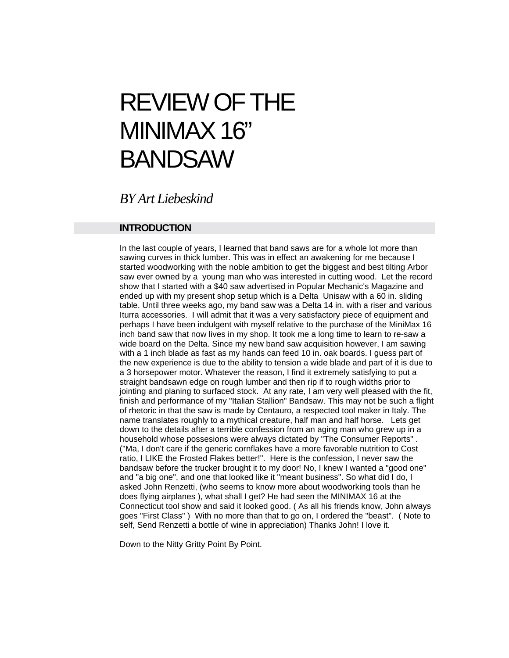# REVIEW OF THE MINIMAX 16" BANDSAW

*BY Art Liebeskind*

### **INTRODUCTION**

In the last couple of years, I learned that band saws are for a whole lot more than sawing curves in thick lumber. This was in effect an awakening for me because I started woodworking with the noble ambition to get the biggest and best tilting Arbor saw ever owned by a young man who was interested in cutting wood. Let the record show that I started with a \$40 saw advertised in Popular Mechanic's Magazine and ended up with my present shop setup which is a Delta Unisaw with a 60 in. sliding table. Until three weeks ago, my band saw was a Delta 14 in. with a riser and various Iturra accessories. I will admit that it was a very satisfactory piece of equipment and perhaps I have been indulgent with myself relative to the purchase of the MiniMax 16 inch band saw that now lives in my shop. It took me a long time to learn to re-saw a wide board on the Delta. Since my new band saw acquisition however, I am sawing with a 1 inch blade as fast as my hands can feed 10 in. oak boards. I guess part of the new experience is due to the ability to tension a wide blade and part of it is due to a 3 horsepower motor. Whatever the reason, I find it extremely satisfying to put a straight bandsawn edge on rough lumber and then rip if to rough widths prior to jointing and planing to surfaced stock. At any rate, I am very well pleased with the fit, finish and performance of my "Italian Stallion" Bandsaw. This may not be such a flight of rhetoric in that the saw is made by Centauro, a respected tool maker in Italy. The name translates roughly to a mythical creature, half man and half horse. Lets get down to the details after a terrible confession from an aging man who grew up in a household whose possesions were always dictated by "The Consumer Reports" . ("Ma, I don't care if the generic cornflakes have a more favorable nutrition to Cost ratio, I LIKE the Frosted Flakes better!". Here is the confession, I never saw the bandsaw before the trucker brought it to my door! No, I knew I wanted a "good one" and "a big one", and one that looked like it "meant business". So what did I do, I asked John Renzetti, (who seems to know more about woodworking tools than he does flying airplanes ), what shall I get? He had seen the MINIMAX 16 at the Connecticut tool show and said it looked good. ( As all his friends know, John always goes "First Class" ) With no more than that to go on, I ordered the "beast". ( Note to self, Send Renzetti a bottle of wine in appreciation) Thanks John! I love it.

Down to the Nitty Gritty Point By Point.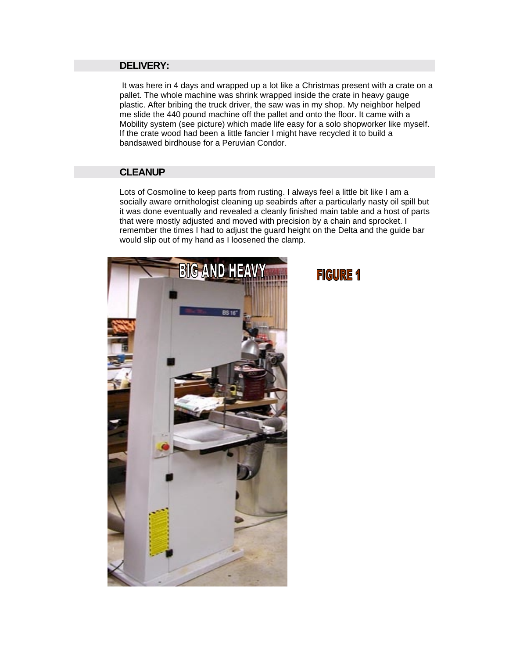### **DELIVERY:**

 It was here in 4 days and wrapped up a lot like a Christmas present with a crate on a pallet. The whole machine was shrink wrapped inside the crate in heavy gauge plastic. After bribing the truck driver, the saw was in my shop. My neighbor helped me slide the 440 pound machine off the pallet and onto the floor. It came with a Mobility system (see picture) which made life easy for a solo shopworker like myself. If the crate wood had been a little fancier I might have recycled it to build a bandsawed birdhouse for a Peruvian Condor.

### **CLEANUP**

Lots of Cosmoline to keep parts from rusting. I always feel a little bit like I am a socially aware ornithologist cleaning up seabirds after a particularly nasty oil spill but it was done eventually and revealed a cleanly finished main table and a host of parts that were mostly adjusted and moved with precision by a chain and sprocket. I remember the times I had to adjust the guard height on the Delta and the guide bar would slip out of my hand as I loosened the clamp.



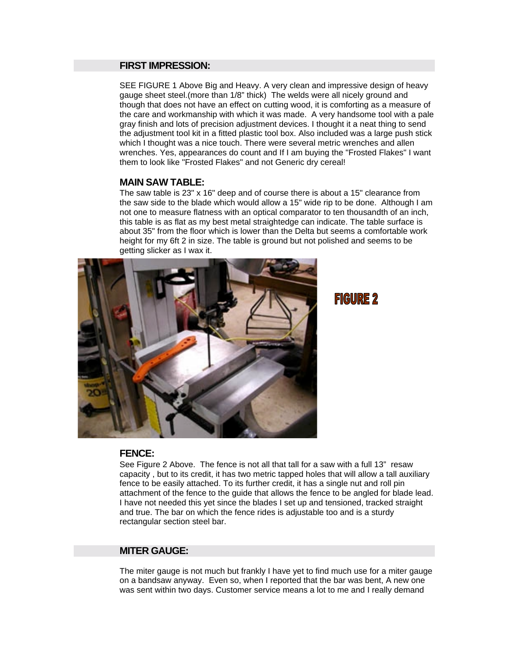### **FIRST IMPRESSION:**

SEE FIGURE 1 Above Big and Heavy. A very clean and impressive design of heavy gauge sheet steel.(more than 1/8" thick) The welds were all nicely ground and though that does not have an effect on cutting wood, it is comforting as a measure of the care and workmanship with which it was made. A very handsome tool with a pale gray finish and lots of precision adjustment devices. I thought it a neat thing to send the adjustment tool kit in a fitted plastic tool box. Also included was a large push stick which I thought was a nice touch. There were several metric wrenches and allen wrenches. Yes, appearances do count and If I am buying the "Frosted Flakes" I want them to look like "Frosted Flakes" and not Generic dry cereal!

### **MAIN SAW TABLE:**

The saw table is 23" x 16" deep and of course there is about a 15" clearance from the saw side to the blade which would allow a 15" wide rip to be done. Although I am not one to measure flatness with an optical comparator to ten thousandth of an inch, this table is as flat as my best metal straightedge can indicate. The table surface is about 35" from the floor which is lower than the Delta but seems a comfortable work height for my 6ft 2 in size. The table is ground but not polished and seems to be getting slicker as I wax it.



**FIGURE 2** 

### **FENCE:**

See Figure 2 Above. The fence is not all that tall for a saw with a full 13" resaw capacity , but to its credit, it has two metric tapped holes that will allow a tall auxiliary fence to be easily attached. To its further credit, it has a single nut and roll pin attachment of the fence to the guide that allows the fence to be angled for blade lead. I have not needed this yet since the blades I set up and tensioned, tracked straight and true. The bar on which the fence rides is adjustable too and is a sturdy rectangular section steel bar.

### **MITER GAUGE:**

The miter gauge is not much but frankly I have yet to find much use for a miter gauge on a bandsaw anyway. Even so, when I reported that the bar was bent, A new one was sent within two days. Customer service means a lot to me and I really demand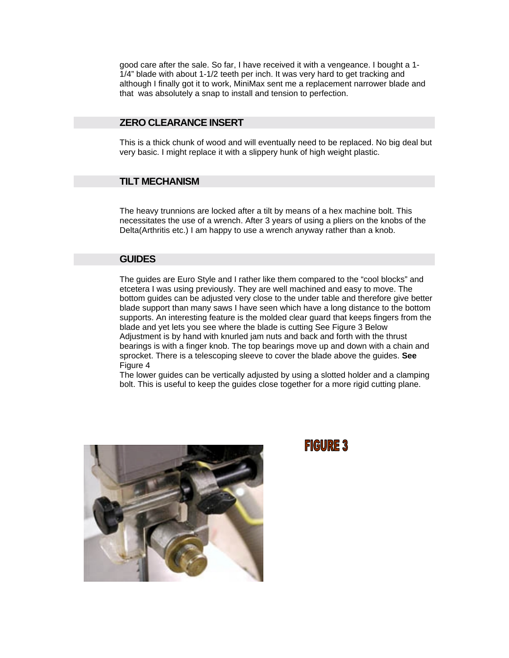good care after the sale. So far, I have received it with a vengeance. I bought a 1- 1/4" blade with about 1-1/2 teeth per inch. It was very hard to get tracking and although I finally got it to work, MiniMax sent me a replacement narrower blade and that was absolutely a snap to install and tension to perfection.

### **ZERO CLEARANCE INSERT**

This is a thick chunk of wood and will eventually need to be replaced. No big deal but very basic. I might replace it with a slippery hunk of high weight plastic.

### **TILT MECHANISM**

The heavy trunnions are locked after a tilt by means of a hex machine bolt. This necessitates the use of a wrench. After 3 years of using a pliers on the knobs of the Delta(Arthritis etc.) I am happy to use a wrench anyway rather than a knob.

### **GUIDES**

The guides are Euro Style and I rather like them compared to the "cool blocks" and etcetera I was using previously. They are well machined and easy to move. The bottom guides can be adjusted very close to the under table and therefore give better blade support than many saws I have seen which have a long distance to the bottom supports. An interesting feature is the molded clear guard that keeps fingers from the blade and yet lets you see where the blade is cutting See Figure 3 Below Adjustment is by hand with knurled jam nuts and back and forth with the thrust bearings is with a finger knob. The top bearings move up and down with a chain and sprocket. There is a telescoping sleeve to cover the blade above the guides. **See** Figure 4

The lower guides can be vertically adjusted by using a slotted holder and a clamping bolt. This is useful to keep the guides close together for a more rigid cutting plane.



### **FIGURE 3**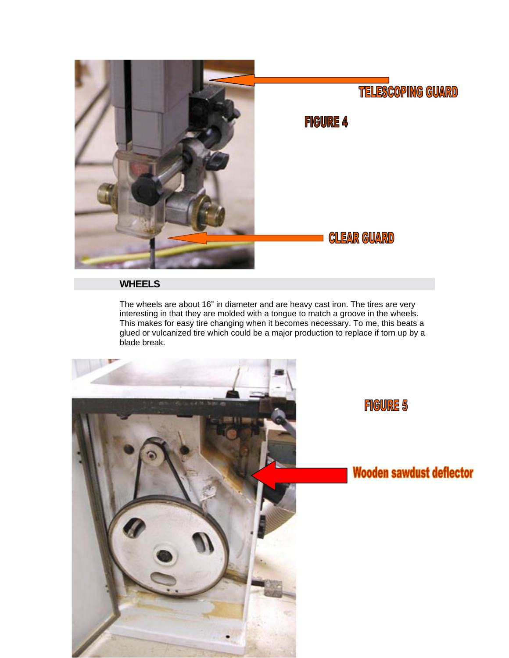

### **WHEELS**

The wheels are about 16" in diameter and are heavy cast iron. The tires are very interesting in that they are molded with a tongue to match a groove in the wheels. This makes for easy tire changing when it becomes necessary. To me, this beats a glued or vulcanized tire which could be a major production to replace if torn up by a blade break.

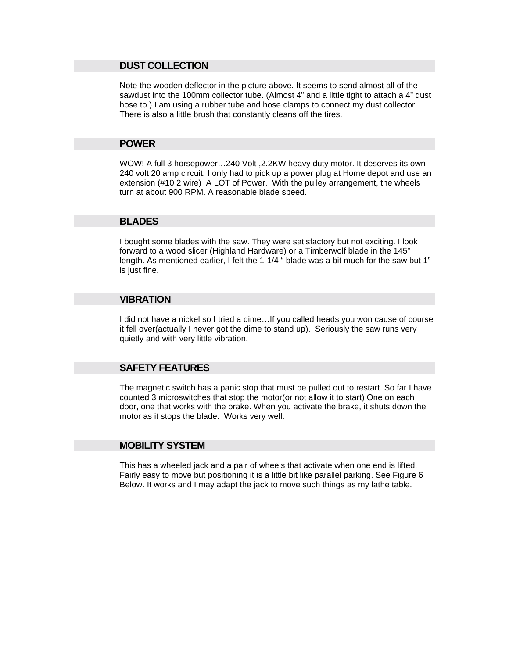### **DUST COLLECTION**

Note the wooden deflector in the picture above. It seems to send almost all of the sawdust into the 100mm collector tube. (Almost 4" and a little tight to attach a 4" dust hose to.) I am using a rubber tube and hose clamps to connect my dust collector There is also a little brush that constantly cleans off the tires.

### **POWER**

WOW! A full 3 horsepower…240 Volt ,2.2KW heavy duty motor. It deserves its own 240 volt 20 amp circuit. I only had to pick up a power plug at Home depot and use an extension (#10 2 wire) A LOT of Power. With the pulley arrangement, the wheels turn at about 900 RPM. A reasonable blade speed.

### **BLADES**

I bought some blades with the saw. They were satisfactory but not exciting. I look forward to a wood slicer (Highland Hardware) or a Timberwolf blade in the 145" length. As mentioned earlier, I felt the 1-1/4 " blade was a bit much for the saw but 1" is just fine.

### **VIBRATION**

I did not have a nickel so I tried a dime…If you called heads you won cause of course it fell over(actually I never got the dime to stand up). Seriously the saw runs very quietly and with very little vibration.

### **SAFETY FEATURES**

The magnetic switch has a panic stop that must be pulled out to restart. So far I have counted 3 microswitches that stop the motor(or not allow it to start) One on each door, one that works with the brake. When you activate the brake, it shuts down the motor as it stops the blade. Works very well.

### **MOBILITY SYSTEM**

This has a wheeled jack and a pair of wheels that activate when one end is lifted. Fairly easy to move but positioning it is a little bit like parallel parking. See Figure 6 Below. It works and I may adapt the jack to move such things as my lathe table.